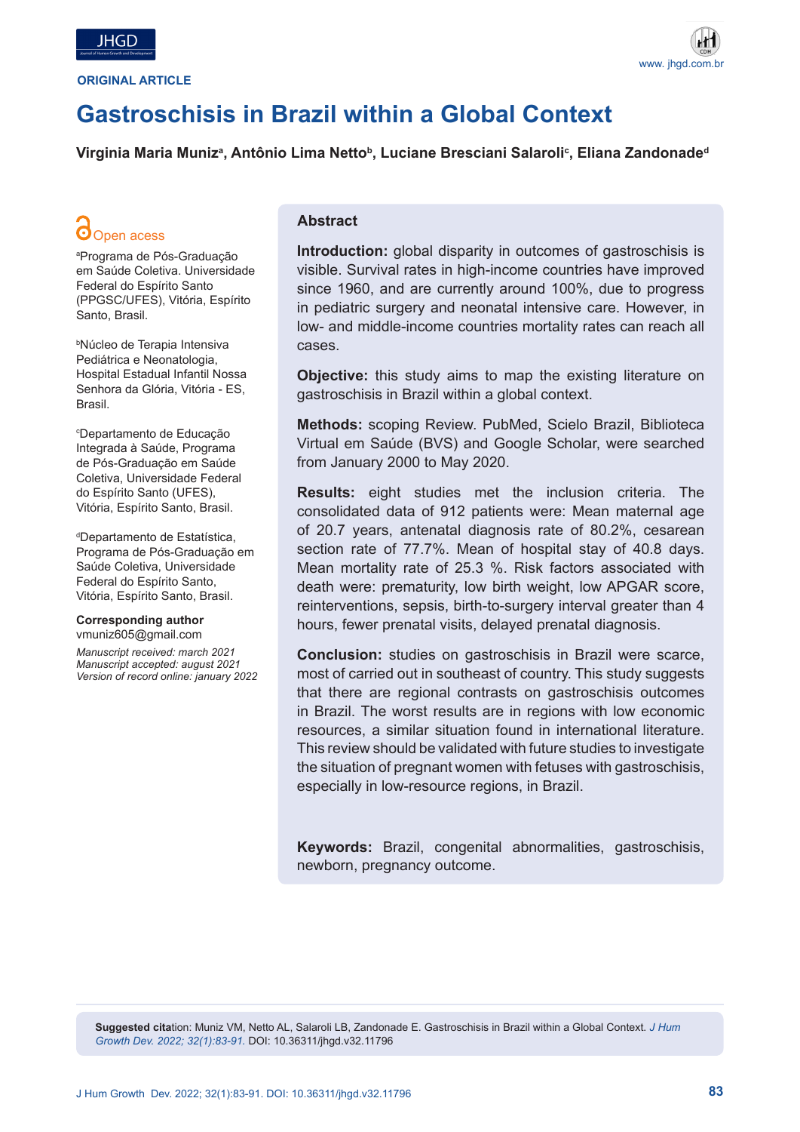



## **Gastroschisis in Brazil within a Global Context**

Virginia Maria Munizª, Antônio Lima Nettoʰ, Luciane Bresciani Salaroliˤ, Eliana Zandonadeª

# Open acess

a Programa de Pós-Graduação em Saúde Coletiva. Universidade Federal do Espírito Santo (PPGSC/UFES), Vitória, Espírito Santo, Brasil.

b Núcleo de Terapia Intensiva Pediátrica e Neonatologia, Hospital Estadual Infantil Nossa Senhora da Glória, Vitória - ES, Brasil.

c Departamento de Educação Integrada à Saúde, Programa de Pós-Graduação em Saúde Coletiva, Universidade Federal do Espírito Santo (UFES), Vitória, Espírito Santo, Brasil.

d Departamento de Estatística, Programa de Pós-Graduação em Saúde Coletiva, Universidade Federal do Espírito Santo, Vitória, Espírito Santo, Brasil.

## **Corresponding author**

vmuniz605@gmail.com

*Manuscript received: march 2021 Manuscript accepted: august 2021 Version of record online: january 2022* 

## **Abstract**

**Introduction:** global disparity in outcomes of gastroschisis is visible. Survival rates in high-income countries have improved since 1960, and are currently around 100%, due to progress in pediatric surgery and neonatal intensive care. However, in low- and middle-income countries mortality rates can reach all cases.

**Objective:** this study aims to map the existing literature on gastroschisis in Brazil within a global context.

**Methods:** scoping Review. PubMed, Scielo Brazil, Biblioteca Virtual em Saúde (BVS) and Google Scholar, were searched from January 2000 to May 2020.

**Results:** eight studies met the inclusion criteria. The consolidated data of 912 patients were: Mean maternal age of 20.7 years, antenatal diagnosis rate of 80.2%, cesarean section rate of 77.7%. Mean of hospital stay of 40.8 days. Mean mortality rate of 25.3 %. Risk factors associated with death were: prematurity, low birth weight, low APGAR score, reinterventions, sepsis, birth-to-surgery interval greater than 4 hours, fewer prenatal visits, delayed prenatal diagnosis.

**Conclusion:** studies on gastroschisis in Brazil were scarce, most of carried out in southeast of country. This study suggests that there are regional contrasts on gastroschisis outcomes in Brazil. The worst results are in regions with low economic resources, a similar situation found in international literature. This review should be validated with future studies to investigate the situation of pregnant women with fetuses with gastroschisis, especially in low-resource regions, in Brazil.

**Keywords:** Brazil, congenital abnormalities, gastroschisis, newborn, pregnancy outcome.

**Suggested cita**tion: Muniz VM, Netto AL, Salaroli LB, Zandonade E. Gastroschisis in Brazil within a Global Context. *J Hum Growth Dev. 2022; 32(1):83-91.* DOI: 10.36311/jhgd.v32.11796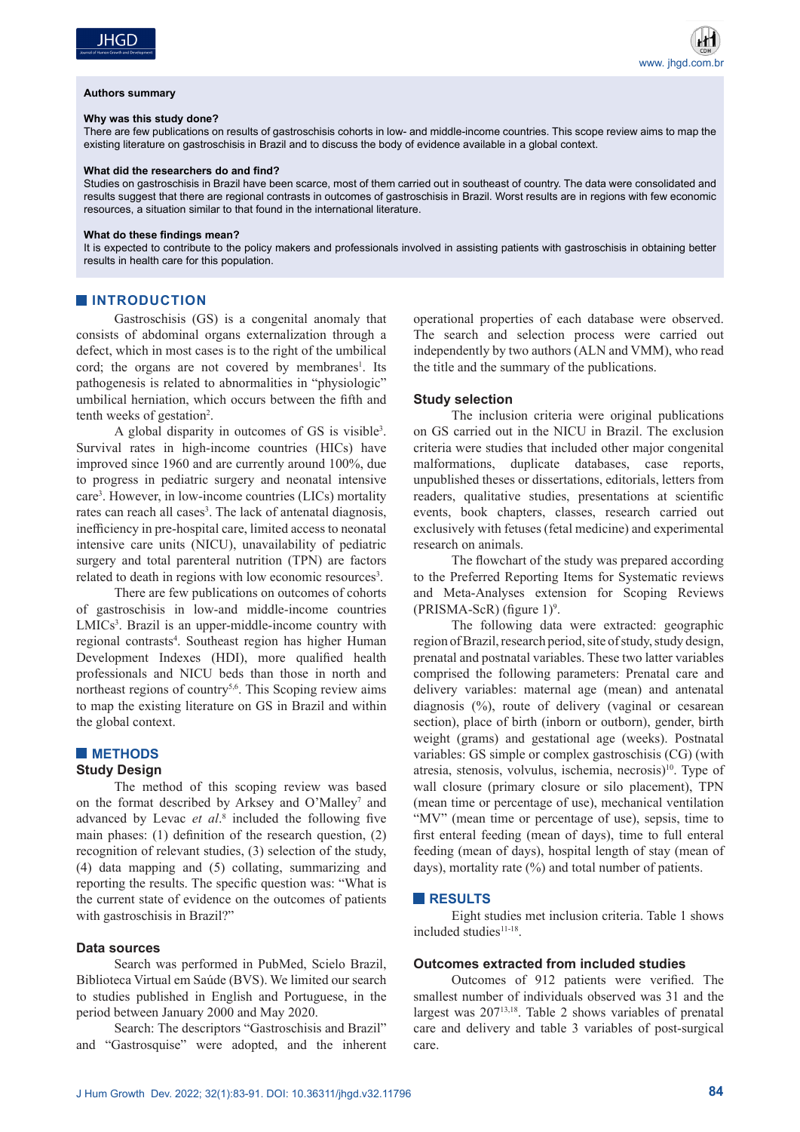#### **Authors summary**

#### **Why was this study done?**

There are few publications on results of gastroschisis cohorts in low- and middle-income countries. This scope review aims to map the existing literature on gastroschisis in Brazil and to discuss the body of evidence available in a global context.

#### **What did the researchers do and find?**

Studies on gastroschisis in Brazil have been scarce, most of them carried out in southeast of country. The data were consolidated and results suggest that there are regional contrasts in outcomes of gastroschisis in Brazil. Worst results are in regions with few economic resources, a situation similar to that found in the international literature.

#### **What do these findings mean?**

It is expected to contribute to the policy makers and professionals involved in assisting patients with gastroschisis in obtaining better results in health care for this population.

## **INTRODUCTION**

Gastroschisis (GS) is a congenital anomaly that consists of abdominal organs externalization through a defect, which in most cases is to the right of the umbilical cord; the organs are not covered by membranes<sup>1</sup>. Its pathogenesis is related to abnormalities in "physiologic" umbilical herniation, which occurs between the fifth and tenth weeks of gestation<sup>2</sup>.

A global disparity in outcomes of GS is visible3 . Survival rates in high-income countries (HICs) have improved since 1960 and are currently around 100%, due to progress in pediatric surgery and neonatal intensive care3 . However, in low-income countries (LICs) mortality rates can reach all cases<sup>3</sup>. The lack of antenatal diagnosis, inefficiency in pre-hospital care, limited access to neonatal intensive care units (NICU), unavailability of pediatric surgery and total parenteral nutrition (TPN) are factors related to death in regions with low economic resources<sup>3</sup>.

There are few publications on outcomes of cohorts of gastroschisis in low-and middle-income countries LMICs<sup>3</sup>. Brazil is an upper-middle-income country with regional contrasts<sup>4</sup>. Southeast region has higher Human Development Indexes (HDI), more qualified health professionals and NICU beds than those in north and northeast regions of country<sup>5,6</sup>. This Scoping review aims to map the existing literature on GS in Brazil and within the global context.

## **METHODS**

## **Study Design**

The method of this scoping review was based on the format described by Arksey and O'Malley<sup>7</sup> and advanced by Levac *et al*. 8 included the following five main phases: (1) definition of the research question, (2) recognition of relevant studies, (3) selection of the study, (4) data mapping and (5) collating, summarizing and reporting the results. The specific question was: "What is the current state of evidence on the outcomes of patients with gastroschisis in Brazil?"

## **Data sources**

Search was performed in PubMed, Scielo Brazil, Biblioteca Virtual em Saúde (BVS). We limited our search to studies published in English and Portuguese, in the period between January 2000 and May 2020.

Search: The descriptors "Gastroschisis and Brazil" and "Gastrosquise" were adopted, and the inherent operational properties of each database were observed. The search and selection process were carried out independently by two authors (ALN and VMM), who read the title and the summary of the publications.

### **Study selection**

The inclusion criteria were original publications on GS carried out in the NICU in Brazil. The exclusion criteria were studies that included other major congenital malformations, duplicate databases, case reports, unpublished theses or dissertations, editorials, letters from readers, qualitative studies, presentations at scientific events, book chapters, classes, research carried out exclusively with fetuses (fetal medicine) and experimental research on animals.

The flowchart of the study was prepared according to the Preferred Reporting Items for Systematic reviews and Meta-Analyses extension for Scoping Reviews  $(PRISMA-ScR)$  (figure 1)<sup>9</sup>.

The following data were extracted: geographic region of Brazil, research period, site of study, study design, prenatal and postnatal variables. These two latter variables comprised the following parameters: Prenatal care and delivery variables: maternal age (mean) and antenatal diagnosis (%), route of delivery (vaginal or cesarean section), place of birth (inborn or outborn), gender, birth weight (grams) and gestational age (weeks). Postnatal variables: GS simple or complex gastroschisis (CG) (with atresia, stenosis, volvulus, ischemia, necrosis)<sup>10</sup>. Type of wall closure (primary closure or silo placement), TPN (mean time or percentage of use), mechanical ventilation "MV" (mean time or percentage of use), sepsis, time to first enteral feeding (mean of days), time to full enteral feeding (mean of days), hospital length of stay (mean of days), mortality rate (%) and total number of patients.

#### **RESULTS**

Eight studies met inclusion criteria. Table 1 shows included studies<sup>11-18</sup>.

## **Outcomes extracted from included studies**

Outcomes of 912 patients were verified. The smallest number of individuals observed was 31 and the largest was 20713,18. Table 2 shows variables of prenatal care and delivery and table 3 variables of post-surgical care.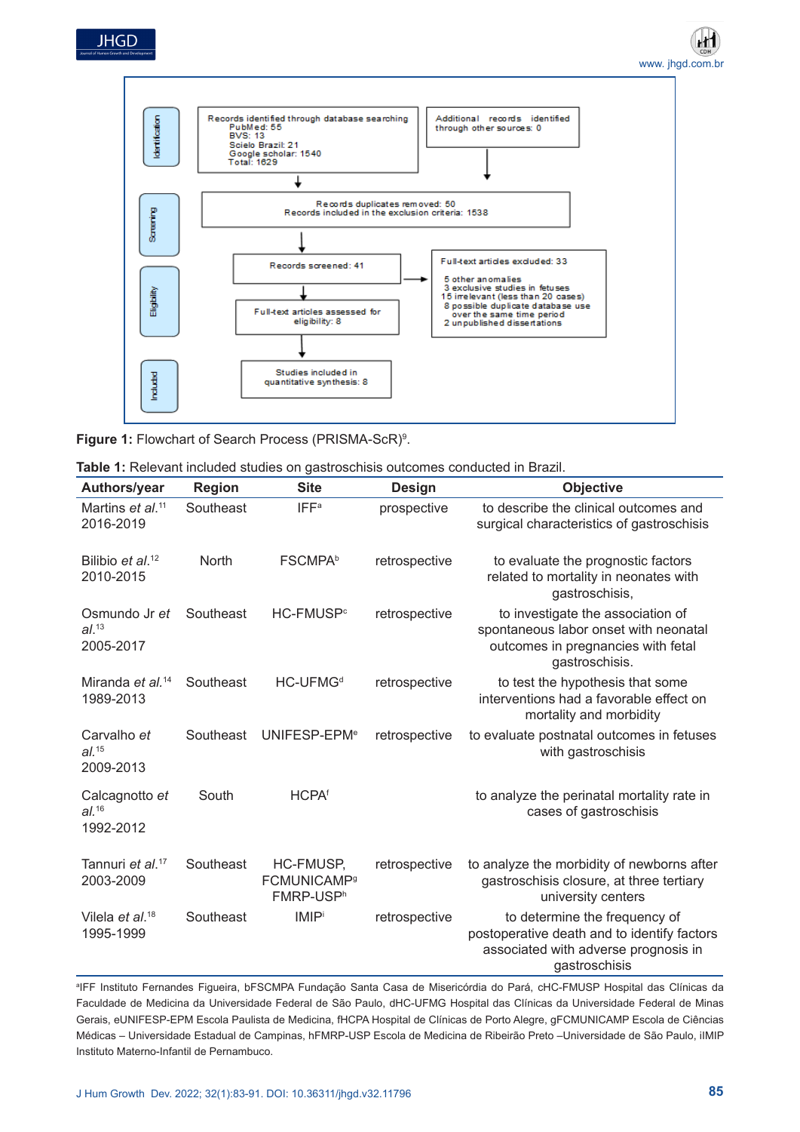



**Figure 1:** Flowchart of Search Process (PRISMA-ScR)<sup>9</sup>.

| Table 1: Relevant included studies on gastroschisis outcomes conducted in Brazil. |  |
|-----------------------------------------------------------------------------------|--|
|-----------------------------------------------------------------------------------|--|

| Authors/year                                     | <b>Region</b> | <b>Site</b>                                                         | <b>Design</b> | <b>Objective</b>                                                                                                                      |
|--------------------------------------------------|---------------|---------------------------------------------------------------------|---------------|---------------------------------------------------------------------------------------------------------------------------------------|
| Martins et al. <sup>11</sup><br>2016-2019        | Southeast     | <b>IFF<sup>a</sup></b>                                              | prospective   | to describe the clinical outcomes and<br>surgical characteristics of gastroschisis                                                    |
| Bilibio et al. <sup>12</sup><br>2010-2015        | <b>North</b>  | <b>FSCMPA</b> b                                                     | retrospective | to evaluate the prognostic factors<br>related to mortality in neonates with<br>gastroschisis,                                         |
| Osmundo Jr et<br>$al.^{13}$<br>2005-2017         | Southeast     | HC-FMUSP <sup>c</sup>                                               | retrospective | to investigate the association of<br>spontaneous labor onset with neonatal<br>outcomes in pregnancies with fetal<br>gastroschisis.    |
| Miranda <i>et al.</i> <sup>14</sup><br>1989-2013 | Southeast     | HC-UFMG <sup>d</sup>                                                | retrospective | to test the hypothesis that some<br>interventions had a favorable effect on<br>mortality and morbidity                                |
| Carvalho et<br>$al.^{15}$<br>2009-2013           | Southeast     | UNIFESP-EPM <sup>e</sup>                                            | retrospective | to evaluate postnatal outcomes in fetuses<br>with gastroschisis                                                                       |
| Calcagnotto et<br>al. <sup>16</sup><br>1992-2012 | South         | <b>HCPAf</b>                                                        |               | to analyze the perinatal mortality rate in<br>cases of gastroschisis                                                                  |
| Tannuri et al. <sup>17</sup><br>2003-2009        | Southeast     | HC-FMUSP,<br><b>FCMUNICAMP<sup>9</sup></b><br>FMRP-USP <sup>h</sup> | retrospective | to analyze the morbidity of newborns after<br>gastroschisis closure, at three tertiary<br>university centers                          |
| Vilela <i>et al</i> . <sup>18</sup><br>1995-1999 | Southeast     | <b>IMIP</b>                                                         | retrospective | to determine the frequency of<br>postoperative death and to identify factors<br>associated with adverse prognosis in<br>gastroschisis |

a IFF Instituto Fernandes Figueira, bFSCMPA Fundação Santa Casa de Misericórdia do Pará, cHC-FMUSP Hospital das Clínicas da Faculdade de Medicina da Universidade Federal de São Paulo, dHC-UFMG Hospital das Clínicas da Universidade Federal de Minas Gerais, eUNIFESP-EPM Escola Paulista de Medicina, fHCPA Hospital de Clínicas de Porto Alegre, gFCMUNICAMP Escola de Ciências Médicas – Universidade Estadual de Campinas, hFMRP-USP Escola de Medicina de Ribeirão Preto –Universidade de São Paulo, iIMIP Instituto Materno-Infantil de Pernambuco.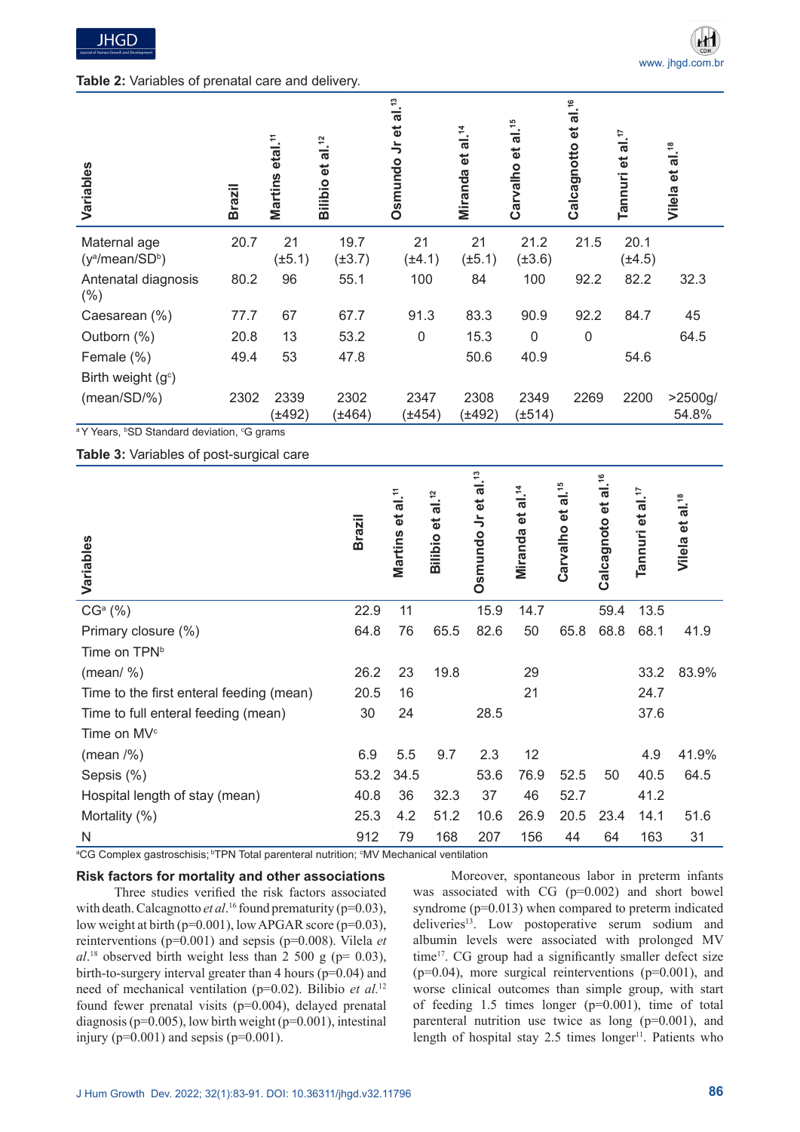## **Table 2:** Variables of prenatal care and delivery.

| Variables                         | <b>Brazil</b> | etal. <sup>11</sup><br>Martins | al. $^2$<br>đ<br>Bilibio | al. <sup>13</sup><br>ಕ<br>$\frac{1}{2}$<br>Osmundo | al. <sup>14</sup><br>$\vec{e}$<br>Miranda | al. <sup>15</sup><br>đ<br>Carvalho | al. <sup>16</sup><br>$\vec{e}$<br>Calcagnotto | $\frac{1}{4}$ .<br>$\vec{e}$<br>Tannuri | al. <sup>18</sup><br>$\vec{e}$<br>Vilela |
|-----------------------------------|---------------|--------------------------------|--------------------------|----------------------------------------------------|-------------------------------------------|------------------------------------|-----------------------------------------------|-----------------------------------------|------------------------------------------|
| Maternal age<br>$(y^a/mean/SD^b)$ | 20.7          | 21<br>$(\pm 5.1)$              | 19.7<br>$(\pm 3.7)$      | 21<br>$(\pm 4.1)$                                  | 21<br>$(\pm 5.1)$                         | 21.2<br>$(\pm 3.6)$                | 21.5                                          | 20.1<br>$(\pm 4.5)$                     |                                          |
| Antenatal diagnosis<br>(% )       | 80.2          | 96                             | 55.1                     | 100                                                | 84                                        | 100                                | 92.2                                          | 82.2                                    | 32.3                                     |
| Caesarean (%)                     | 77.7          | 67                             | 67.7                     | 91.3                                               | 83.3                                      | 90.9                               | 92.2                                          | 84.7                                    | 45                                       |
| Outborn (%)                       | 20.8          | 13                             | 53.2                     | $\mathbf 0$                                        | 15.3                                      | 0                                  | $\mathbf 0$                                   |                                         | 64.5                                     |
| Female (%)                        | 49.4          | 53                             | 47.8                     |                                                    | 50.6                                      | 40.9                               |                                               | 54.6                                    |                                          |
| Birth weight $(gc)$               |               |                                |                          |                                                    |                                           |                                    |                                               |                                         |                                          |
| (mean/SD/%)                       | 2302          | 2339<br>(±492)                 | 2302<br>$(\pm 464)$      | 2347<br>(±454)                                     | 2308<br>(±492)                            | 2349<br>$(\pm 514)$                | 2269                                          | 2200                                    | >2500g/<br>54.8%                         |

a Y Years, b SD Standard deviation, c G grams

**Table 3:** Variables of post-surgical care

| Variables                                | <b>Brazil</b> | $\frac{1}{2}$<br>$\vec{e}$<br>Martins | al. <sup>12</sup><br>$\vec{e}$<br>Bilibio | al. <sup>13</sup><br>Osmundo Jr et | al. <sup>14</sup><br>$\vec{e}$<br>Miranda | Carvalho et al. <sup>15</sup> | al. <sup>16</sup><br>Calcagnoto et | al. <sup>17</sup><br>$\vec{e}$<br>Tannuri | Vilela et al. <sup>18</sup> |
|------------------------------------------|---------------|---------------------------------------|-------------------------------------------|------------------------------------|-------------------------------------------|-------------------------------|------------------------------------|-------------------------------------------|-----------------------------|
| CG <sup>a</sup> (%)                      | 22.9          | 11                                    |                                           | 15.9                               | 14.7                                      |                               | 59.4                               | 13.5                                      |                             |
| Primary closure (%)                      | 64.8          | 76                                    | 65.5                                      | 82.6                               | 50                                        | 65.8                          | 68.8                               | 68.1                                      | 41.9                        |
| Time on TPN <sup>b</sup>                 |               |                                       |                                           |                                    |                                           |                               |                                    |                                           |                             |
| (mean/ $\%$ )                            | 26.2          | 23                                    | 19.8                                      |                                    | 29                                        |                               |                                    | 33.2                                      | 83.9%                       |
| Time to the first enteral feeding (mean) | 20.5          | 16                                    |                                           |                                    | 21                                        |                               |                                    | 24.7                                      |                             |
| Time to full enteral feeding (mean)      | 30            | 24                                    |                                           | 28.5                               |                                           |                               |                                    | 37.6                                      |                             |
| Time on MV <sup>c</sup>                  |               |                                       |                                           |                                    |                                           |                               |                                    |                                           |                             |
| (mean / %)                               | 6.9           | 5.5                                   | 9.7                                       | 2.3                                | 12                                        |                               |                                    | 4.9                                       | 41.9%                       |
| Sepsis (%)                               | 53.2          | 34.5                                  |                                           | 53.6                               | 76.9                                      | 52.5                          | 50                                 | 40.5                                      | 64.5                        |
| Hospital length of stay (mean)           | 40.8          | 36                                    | 32.3                                      | 37                                 | 46                                        | 52.7                          |                                    | 41.2                                      |                             |
| Mortality (%)                            | 25.3          | 4.2                                   | 51.2                                      | 10.6                               | 26.9                                      | 20.5                          | 23.4                               | 14.1                                      | 51.6                        |
| N                                        | 912           | 79                                    | 168                                       | 207                                | 156                                       | 44                            | 64                                 | 163                                       | 31                          |

ªCG Complex gastroschisis; <sup>ь</sup>TPN Total parenteral nutrition; <sup>с</sup>MV Mechanical ventilation

## **Risk factors for mortality and other associations**

Three studies verified the risk factors associated with death. Calcagnotto *et al*.<sup>16</sup> found prematurity (p=0.03), low weight at birth (p=0.001), low APGAR score (p=0.03), reinterventions (p=0.001) and sepsis (p=0.008). Vilela *et*   $al.^{18}$  observed birth weight less than 2 500 g ( $p=0.03$ ), birth-to-surgery interval greater than 4 hours (p=0.04) and need of mechanical ventilation (p=0.02). Bilibio *et al.*<sup>12</sup> found fewer prenatal visits (p=0.004), delayed prenatal diagnosis ( $p=0.005$ ), low birth weight ( $p=0.001$ ), intestinal injury ( $p=0.001$ ) and sepsis ( $p=0.001$ ).

Moreover, spontaneous labor in preterm infants was associated with CG (p=0.002) and short bowel syndrome (p=0.013) when compared to preterm indicated deliveries<sup>13</sup>. Low postoperative serum sodium and albumin levels were associated with prolonged MV time<sup>17</sup>. CG group had a significantly smaller defect size  $(p=0.04)$ , more surgical reinterventions  $(p=0.001)$ , and worse clinical outcomes than simple group, with start of feeding 1.5 times longer (p=0.001), time of total parenteral nutrition use twice as long (p=0.001), and length of hospital stay  $2.5$  times longer<sup>11</sup>. Patients who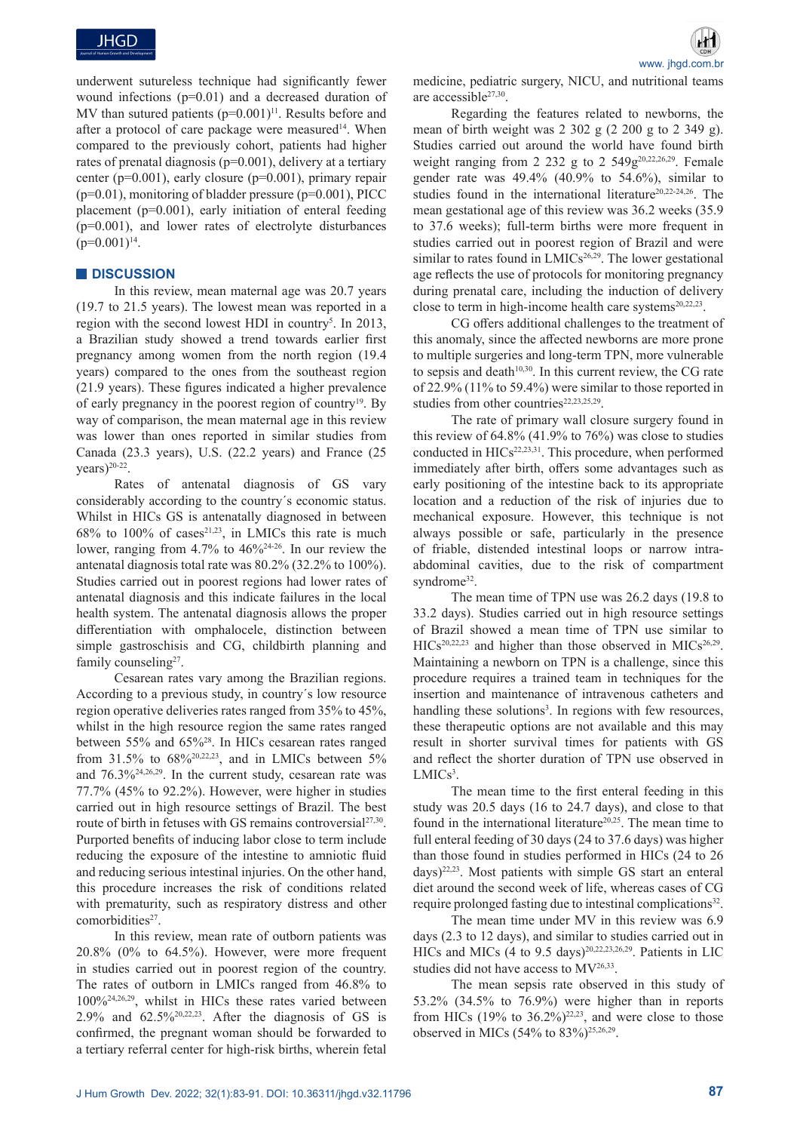underwent sutureless technique had significantly fewer wound infections (p=0.01) and a decreased duration of MV than sutured patients  $(p=0.001)^{11}$ . Results before and after a protocol of care package were measured<sup>14</sup>. When compared to the previously cohort, patients had higher rates of prenatal diagnosis (p=0.001), delivery at a tertiary center ( $p=0.001$ ), early closure ( $p=0.001$ ), primary repair  $(p=0.01)$ , monitoring of bladder pressure  $(p=0.001)$ , PICC placement (p=0.001), early initiation of enteral feeding (p=0.001), and lower rates of electrolyte disturbances  $(p=0.001)^{14}$ .

## **DISCUSSION**

In this review, mean maternal age was 20.7 years (19.7 to 21.5 years). The lowest mean was reported in a region with the second lowest HDI in country<sup>5</sup>. In 2013, a Brazilian study showed a trend towards earlier first pregnancy among women from the north region (19.4 years) compared to the ones from the southeast region (21.9 years). These figures indicated a higher prevalence of early pregnancy in the poorest region of country19. By way of comparison, the mean maternal age in this review was lower than ones reported in similar studies from Canada (23.3 years), U.S. (22.2 years) and France (25  $\text{years}$ )<sup>20-22</sup>.

Rates of antenatal diagnosis of GS vary considerably according to the country´s economic status. Whilst in HICs GS is antenatally diagnosed in between  $68\%$  to  $100\%$  of cases<sup>21,23</sup>, in LMICs this rate is much lower, ranging from 4.7% to 46%24-26. In our review the antenatal diagnosis total rate was 80.2% (32.2% to 100%). Studies carried out in poorest regions had lower rates of antenatal diagnosis and this indicate failures in the local health system. The antenatal diagnosis allows the proper differentiation with omphalocele, distinction between simple gastroschisis and CG, childbirth planning and family counseling<sup>27</sup>.

Cesarean rates vary among the Brazilian regions. According to a previous study, in country´s low resource region operative deliveries rates ranged from 35% to 45%, whilst in the high resource region the same rates ranged between 55% and 65%28. In HICs cesarean rates ranged from 31.5% to  $68\frac{620,22,23}{6}$ , and in LMICs between 5% and 76.3%24,26,29. In the current study, cesarean rate was 77.7% (45% to 92.2%). However, were higher in studies carried out in high resource settings of Brazil. The best route of birth in fetuses with GS remains controversial<sup>27,30</sup>. Purported benefits of inducing labor close to term include reducing the exposure of the intestine to amniotic fluid and reducing serious intestinal injuries. On the other hand, this procedure increases the risk of conditions related with prematurity, such as respiratory distress and other comorbidities<sup>27</sup>.

In this review, mean rate of outborn patients was 20.8% (0% to 64.5%). However, were more frequent in studies carried out in poorest region of the country. The rates of outborn in LMICs ranged from 46.8% to 100%24,26,29, whilst in HICs these rates varied between 2.9% and  $62.5\frac{620,22,23}{6}$ . After the diagnosis of GS is confirmed, the pregnant woman should be forwarded to a tertiary referral center for high-risk births, wherein fetal

www. jhgd.com.br medicine, pediatric surgery, NICU, and nutritional teams are accessible<sup>27,30</sup>.

Regarding the features related to newborns, the mean of birth weight was 2 302 g (2 200 g to 2 349 g). Studies carried out around the world have found birth weight ranging from 2 232 g to 2 549 $g^{20,22,26,29}$ . Female gender rate was 49.4% (40.9% to 54.6%), similar to studies found in the international literature<sup>20,22-24,26</sup>. The mean gestational age of this review was 36.2 weeks (35.9 to 37.6 weeks); full-term births were more frequent in studies carried out in poorest region of Brazil and were similar to rates found in  $LMICS<sup>26,29</sup>$ . The lower gestational age reflects the use of protocols for monitoring pregnancy during prenatal care, including the induction of delivery close to term in high-income health care systems<sup>20,22,23</sup>.

CG offers additional challenges to the treatment of this anomaly, since the affected newborns are more prone to multiple surgeries and long-term TPN, more vulnerable to sepsis and death $10,30$ . In this current review, the CG rate of 22.9% (11% to 59.4%) were similar to those reported in studies from other countries<sup>22,23,25,29</sup>.

The rate of primary wall closure surgery found in this review of  $64.8\%$  (41.9% to  $76\%$ ) was close to studies conducted in  $HICs^{22,23,31}$ . This procedure, when performed immediately after birth, offers some advantages such as early positioning of the intestine back to its appropriate location and a reduction of the risk of injuries due to mechanical exposure. However, this technique is not always possible or safe, particularly in the presence of friable, distended intestinal loops or narrow intraabdominal cavities, due to the risk of compartment syndrome<sup>32</sup>.

The mean time of TPN use was 26.2 days (19.8 to 33.2 days). Studies carried out in high resource settings of Brazil showed a mean time of TPN use similar to  $HICs<sup>20,22,23</sup>$  and higher than those observed in  $MICs<sup>26,29</sup>$ . Maintaining a newborn on TPN is a challenge, since this procedure requires a trained team in techniques for the insertion and maintenance of intravenous catheters and handling these solutions<sup>3</sup>. In regions with few resources, these therapeutic options are not available and this may result in shorter survival times for patients with GS and reflect the shorter duration of TPN use observed in  $LMICs<sup>3</sup>$ .

The mean time to the first enteral feeding in this study was 20.5 days (16 to 24.7 days), and close to that found in the international literature<sup>20,25</sup>. The mean time to full enteral feeding of 30 days (24 to 37.6 days) was higher than those found in studies performed in HICs (24 to 26 days)22,23. Most patients with simple GS start an enteral diet around the second week of life, whereas cases of CG require prolonged fasting due to intestinal complications<sup>32</sup>.

The mean time under MV in this review was 6.9 days (2.3 to 12 days), and similar to studies carried out in HICs and MICs (4 to 9.5 days)<sup>20,22,23,26,29</sup>. Patients in LIC studies did not have access to MV26,33.

The mean sepsis rate observed in this study of 53.2% (34.5% to 76.9%) were higher than in reports from HICs  $(19\%$  to  $36.2\%)^{22,23}$ , and were close to those observed in MICs (54% to 83%)25,26,29.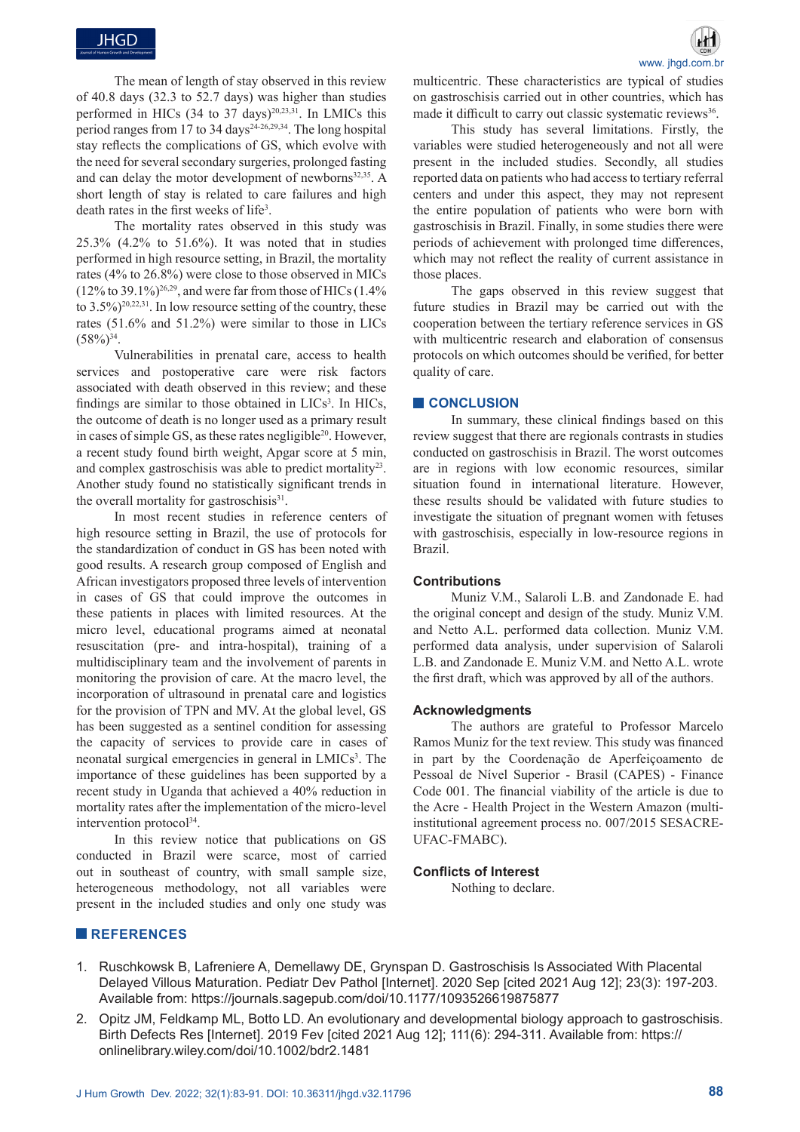The mean of length of stay observed in this review of 40.8 days (32.3 to 52.7 days) was higher than studies performed in HICs (34 to 37 days)<sup>20,23,31</sup>. In LMICs this period ranges from  $17$  to 34 days<sup>24-26,29,34</sup>. The long hospital stay reflects the complications of GS, which evolve with the need for several secondary surgeries, prolonged fasting and can delay the motor development of newborns<sup>32,35</sup>. A short length of stay is related to care failures and high death rates in the first weeks of life<sup>3</sup>.

The mortality rates observed in this study was 25.3% (4.2% to 51.6%). It was noted that in studies performed in high resource setting, in Brazil, the mortality rates (4% to 26.8%) were close to those observed in MICs  $(12\% \text{ to } 39.1\%)^{26,29}$ , and were far from those of HICs  $(1.4\%)$ to  $3.5\%$ )<sup>20,22,31</sup>. In low resource setting of the country, these rates (51.6% and 51.2%) were similar to those in LICs  $(58\%)^{34}$ .

Vulnerabilities in prenatal care, access to health services and postoperative care were risk factors associated with death observed in this review; and these findings are similar to those obtained in  $LICs<sup>3</sup>$ . In HICs, the outcome of death is no longer used as a primary result in cases of simple GS, as these rates negligible<sup>20</sup>. However, a recent study found birth weight, Apgar score at 5 min, and complex gastroschisis was able to predict mortality<sup>23</sup>. Another study found no statistically significant trends in the overall mortality for gastroschisis $31$ .

In most recent studies in reference centers of high resource setting in Brazil, the use of protocols for the standardization of conduct in GS has been noted with good results. A research group composed of English and African investigators proposed three levels of intervention in cases of GS that could improve the outcomes in these patients in places with limited resources. At the micro level, educational programs aimed at neonatal resuscitation (pre- and intra-hospital), training of a multidisciplinary team and the involvement of parents in monitoring the provision of care. At the macro level, the incorporation of ultrasound in prenatal care and logistics for the provision of TPN and MV. At the global level, GS has been suggested as a sentinel condition for assessing the capacity of services to provide care in cases of neonatal surgical emergencies in general in LMICs<sup>3</sup>. The importance of these guidelines has been supported by a recent study in Uganda that achieved a 40% reduction in mortality rates after the implementation of the micro-level intervention protocol<sup>34</sup>.

In this review notice that publications on GS conducted in Brazil were scarce, most of carried out in southeast of country, with small sample size, heterogeneous methodology, not all variables were present in the included studies and only one study was

multicentric. These characteristics are typical of studies on gastroschisis carried out in other countries, which has made it difficult to carry out classic systematic reviews<sup>36</sup>.

This study has several limitations. Firstly, the variables were studied heterogeneously and not all were present in the included studies. Secondly, all studies reported data on patients who had access to tertiary referral centers and under this aspect, they may not represent the entire population of patients who were born with gastroschisis in Brazil. Finally, in some studies there were periods of achievement with prolonged time differences, which may not reflect the reality of current assistance in those places.

The gaps observed in this review suggest that future studies in Brazil may be carried out with the cooperation between the tertiary reference services in GS with multicentric research and elaboration of consensus protocols on which outcomes should be verified, for better quality of care.

## **CONCLUSION**

In summary, these clinical findings based on this review suggest that there are regionals contrasts in studies conducted on gastroschisis in Brazil. The worst outcomes are in regions with low economic resources, similar situation found in international literature. However, these results should be validated with future studies to investigate the situation of pregnant women with fetuses with gastroschisis, especially in low-resource regions in Brazil.

## **Contributions**

Muniz V.M., Salaroli L.B. and Zandonade E. had the original concept and design of the study. Muniz V.M. and Netto A.L. performed data collection. Muniz V.M. performed data analysis, under supervision of Salaroli L.B. and Zandonade E. Muniz V.M. and Netto A.L. wrote the first draft, which was approved by all of the authors.

## **Acknowledgments**

The authors are grateful to Professor Marcelo Ramos Muniz for the text review. This study was financed in part by the Coordenação de Aperfeiçoamento de Pessoal de Nível Superior - Brasil (CAPES) - Finance Code 001. The financial viability of the article is due to the Acre - Health Project in the Western Amazon (multiinstitutional agreement process no. 007/2015 SESACRE-UFAC-FMABC).

## **Conflicts of Interest**

Nothing to declare.

## **REFERENCES**

- 1. Ruschkowsk B, Lafreniere A, Demellawy DE, Grynspan D. Gastroschisis Is Associated With Placental Delayed Villous Maturation. Pediatr Dev Pathol [Internet]. 2020 Sep [cited 2021 Aug 12]; 23(3): 197-203. Available from: https://journals.sagepub.com/doi/10.1177/1093526619875877
- 2. Opitz JM, Feldkamp ML, Botto LD. An evolutionary and developmental biology approach to gastroschisis. Birth Defects Res [Internet]. 2019 Fev [cited 2021 Aug 12]; 111(6): 294-311. Available from: https:// onlinelibrary.wiley.com/doi/10.1002/bdr2.1481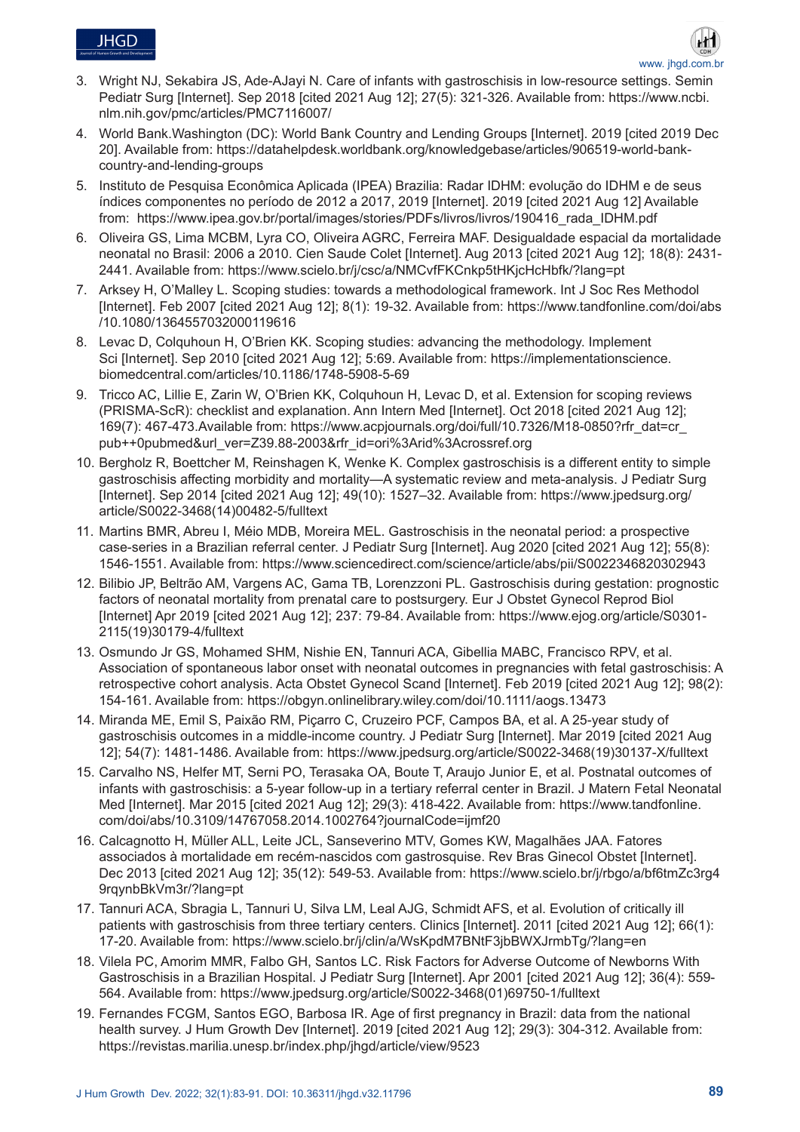

- 3. Wright NJ, Sekabira JS, Ade-AJayi N. Care of infants with gastroschisis in low-resource settings. Semin Pediatr Surg [Internet]. Sep 2018 [cited 2021 Aug 12]; 27(5): 321-326. Available from: https://www.ncbi. nlm.nih.gov/pmc/articles/PMC7116007/
- 4. World Bank.Washington (DC): World Bank Country and Lending Groups [Internet]. 2019 [cited 2019 Dec 20]. Available from: https://datahelpdesk.worldbank.org/knowledgebase/articles/906519-world-bankcountry-and-lending-groups
- 5. Instituto de Pesquisa Econômica Aplicada (IPEA) Brazilia: Radar IDHM: evolução do IDHM e de seus índices componentes no período de 2012 a 2017, 2019 [Internet]. 2019 [cited 2021 Aug 12] Available from: https://www.ipea.gov.br/portal/images/stories/PDFs/livros/livros/190416\_rada\_IDHM.pdf
- 6. Oliveira GS, Lima MCBM, Lyra CO, Oliveira AGRC, Ferreira MAF. Desigualdade espacial da mortalidade neonatal no Brasil: 2006 a 2010. Cien Saude Colet [Internet]. Aug 2013 [cited 2021 Aug 12]; 18(8): 2431- 2441. Available from: https://www.scielo.br/j/csc/a/NMCvfFKCnkp5tHKjcHcHbfk/?lang=pt
- 7. Arksey H, O'Malley L. Scoping studies: towards a methodological framework. Int J Soc Res Methodol [Internet]. Feb 2007 [cited 2021 Aug 12]; 8(1): 19-32. Available from: https://www.tandfonline.com/doi/abs /10.1080/1364557032000119616
- 8. Levac D, Colquhoun H, O'Brien KK. Scoping studies: advancing the methodology. Implement Sci [Internet]. Sep 2010 [cited 2021 Aug 12]; 5:69. Available from: https://implementationscience. biomedcentral.com/articles/10.1186/1748-5908-5-69
- 9. Tricco AC, Lillie E, Zarin W, O'Brien KK, Colquhoun H, Levac D, et al. Extension for scoping reviews (PRISMA-ScR): checklist and explanation. Ann Intern Med [Internet]. Oct 2018 [cited 2021 Aug 12]; 169(7): 467-473.Available from: https://www.acpjournals.org/doi/full/10.7326/M18-0850?rfr\_dat=cr\_ pub++0pubmed&url\_ver=Z39.88-2003&rfr\_id=ori%3Arid%3Acrossref.org
- 10. Bergholz R, Boettcher M, Reinshagen K, Wenke K. Complex gastroschisis is a different entity to simple gastroschisis affecting morbidity and mortality—A systematic review and meta-analysis. J Pediatr Surg [Internet]. Sep 2014 [cited 2021 Aug 12]; 49(10): 1527–32. Available from: https://www.jpedsurg.org/ article/S0022-3468(14)00482-5/fulltext
- 11. Martins BMR, Abreu I, Méio MDB, Moreira MEL. Gastroschisis in the neonatal period: a prospective case-series in a Brazilian referral center. J Pediatr Surg [Internet]. Aug 2020 [cited 2021 Aug 12]; 55(8): 1546-1551. Available from: https://www.sciencedirect.com/science/article/abs/pii/S0022346820302943
- 12. Bilibio JP, Beltrão AM, Vargens AC, Gama TB, Lorenzzoni PL. Gastroschisis during gestation: prognostic factors of neonatal mortality from prenatal care to postsurgery. Eur J Obstet Gynecol Reprod Biol [Internet] Apr 2019 [cited 2021 Aug 12]; 237: 79-84. Available from: https://www.ejog.org/article/S0301- 2115(19)30179-4/fulltext
- 13. Osmundo Jr GS, Mohamed SHM, Nishie EN, Tannuri ACA, Gibellia MABC, Francisco RPV, et al. Association of spontaneous labor onset with neonatal outcomes in pregnancies with fetal gastroschisis: A retrospective cohort analysis. Acta Obstet Gynecol Scand [Internet]. Feb 2019 [cited 2021 Aug 12]; 98(2): 154-161. Available from: https://obgyn.onlinelibrary.wiley.com/doi/10.1111/aogs.13473
- 14. Miranda ME, Emil S, Paixão RM, Piçarro C, Cruzeiro PCF, Campos BA, et al. A 25-year study of gastroschisis outcomes in a middle-income country. J Pediatr Surg [Internet]. Mar 2019 [cited 2021 Aug 12]; 54(7): 1481-1486. Available from: https://www.jpedsurg.org/article/S0022-3468(19)30137-X/fulltext
- 15. Carvalho NS, Helfer MT, Serni PO, Terasaka OA, Boute T, Araujo Junior E, et al. Postnatal outcomes of infants with gastroschisis: a 5-year follow-up in a tertiary referral center in Brazil. J Matern Fetal Neonatal Med [Internet]. Mar 2015 [cited 2021 Aug 12]; 29(3): 418-422. Available from: https://www.tandfonline. com/doi/abs/10.3109/14767058.2014.1002764?journalCode=ijmf20
- 16. Calcagnotto H, Müller ALL, Leite JCL, Sanseverino MTV, Gomes KW, Magalhães JAA. Fatores associados à mortalidade em recém-nascidos com gastrosquise. Rev Bras Ginecol Obstet [Internet]. Dec 2013 [cited 2021 Aug 12]; 35(12): 549-53. Available from: https://www.scielo.br/j/rbgo/a/bf6tmZc3rg4 9rqynbBkVm3r/?lang=pt
- 17. Tannuri ACA, Sbragia L, Tannuri U, Silva LM, Leal AJG, Schmidt AFS, et al. Evolution of critically ill patients with gastroschisis from three tertiary centers. Clinics [Internet]. 2011 [cited 2021 Aug 12]; 66(1): 17-20. Available from: https://www.scielo.br/j/clin/a/WsKpdM7BNtF3jbBWXJrmbTg/?lang=en
- 18. Vilela PC, Amorim MMR, Falbo GH, Santos LC. Risk Factors for Adverse Outcome of Newborns With Gastroschisis in a Brazilian Hospital. J Pediatr Surg [Internet]. Apr 2001 [cited 2021 Aug 12]; 36(4): 559- 564. Available from: https://www.jpedsurg.org/article/S0022-3468(01)69750-1/fulltext
- 19. Fernandes FCGM, Santos EGO, Barbosa IR. Age of first pregnancy in Brazil: data from the national health survey. J Hum Growth Dev [Internet]. 2019 [cited 2021 Aug 12]; 29(3): 304-312. Available from: https://revistas.marilia.unesp.br/index.php/jhgd/article/view/9523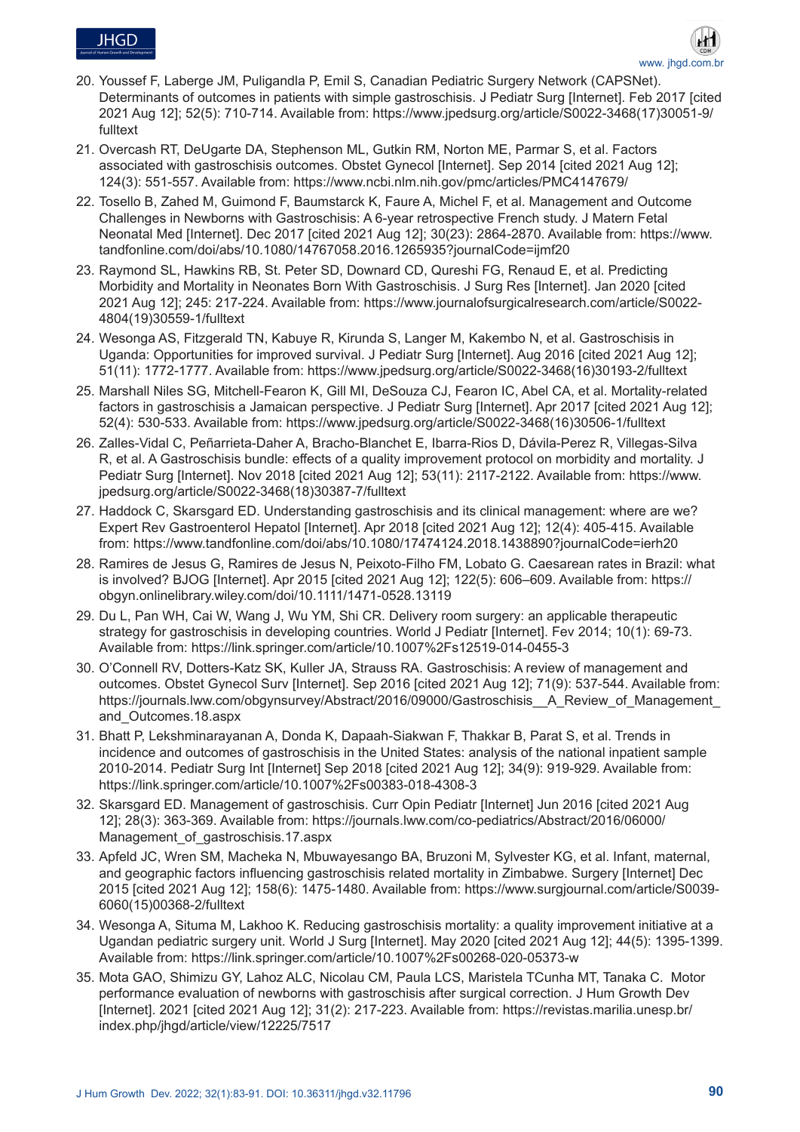



- 20. Youssef F, Laberge JM, Puligandla P, Emil S, Canadian Pediatric Surgery Network (CAPSNet). Determinants of outcomes in patients with simple gastroschisis. J Pediatr Surg [Internet]. Feb 2017 [cited 2021 Aug 12]; 52(5): 710-714. Available from: https://www.jpedsurg.org/article/S0022-3468(17)30051-9/ fulltext
- 21. Overcash RT, DeUgarte DA, Stephenson ML, Gutkin RM, Norton ME, Parmar S, et al. Factors associated with gastroschisis outcomes. Obstet Gynecol [Internet]. Sep 2014 [cited 2021 Aug 12]; 124(3): 551-557. Available from: https://www.ncbi.nlm.nih.gov/pmc/articles/PMC4147679/
- 22. Tosello B, Zahed M, Guimond F, Baumstarck K, Faure A, Michel F, et al. Management and Outcome Challenges in Newborns with Gastroschisis: A 6-year retrospective French study. J Matern Fetal Neonatal Med [Internet]. Dec 2017 [cited 2021 Aug 12]; 30(23): 2864-2870. Available from: https://www. tandfonline.com/doi/abs/10.1080/14767058.2016.1265935?journalCode=ijmf20
- 23. Raymond SL, Hawkins RB, St. Peter SD, Downard CD, Qureshi FG, Renaud E, et al. Predicting Morbidity and Mortality in Neonates Born With Gastroschisis. J Surg Res [Internet]. Jan 2020 [cited 2021 Aug 12]; 245: 217-224. Available from: https://www.journalofsurgicalresearch.com/article/S0022- 4804(19)30559-1/fulltext
- 24. Wesonga AS, Fitzgerald TN, Kabuye R, Kirunda S, Langer M, Kakembo N, et al. Gastroschisis in Uganda: Opportunities for improved survival. J Pediatr Surg [Internet]. Aug 2016 [cited 2021 Aug 12]; 51(11): 1772-1777. Available from: https://www.jpedsurg.org/article/S0022-3468(16)30193-2/fulltext
- 25. Marshall Niles SG, Mitchell-Fearon K, Gill MI, DeSouza CJ, Fearon IC, Abel CA, et al. Mortality-related factors in gastroschisis a Jamaican perspective. J Pediatr Surg [Internet]. Apr 2017 [cited 2021 Aug 12]; 52(4): 530-533. Available from: https://www.jpedsurg.org/article/S0022-3468(16)30506-1/fulltext
- 26. Zalles-Vidal C, Peñarrieta-Daher A, Bracho-Blanchet E, Ibarra-Rios D, Dávila-Perez R, Villegas-Silva R, et al. A Gastroschisis bundle: effects of a quality improvement protocol on morbidity and mortality. J Pediatr Surg [Internet]. Nov 2018 [cited 2021 Aug 12]; 53(11): 2117-2122. Available from: https://www. jpedsurg.org/article/S0022-3468(18)30387-7/fulltext
- 27. Haddock C, Skarsgard ED. Understanding gastroschisis and its clinical management: where are we? Expert Rev Gastroenterol Hepatol [Internet]. Apr 2018 [cited 2021 Aug 12]; 12(4): 405-415. Available from: https://www.tandfonline.com/doi/abs/10.1080/17474124.2018.1438890?journalCode=ierh20
- 28. Ramires de Jesus G, Ramires de Jesus N, Peixoto-Filho FM, Lobato G. Caesarean rates in Brazil: what is involved? BJOG [Internet]. Apr 2015 [cited 2021 Aug 12]; 122(5): 606–609. Available from: https:// obgyn.onlinelibrary.wiley.com/doi/10.1111/1471-0528.13119
- 29. Du L, Pan WH, Cai W, Wang J, Wu YM, Shi CR. Delivery room surgery: an applicable therapeutic strategy for gastroschisis in developing countries. World J Pediatr [Internet]. Fev 2014; 10(1): 69-73. Available from: https://link.springer.com/article/10.1007%2Fs12519-014-0455-3
- 30. O'Connell RV, Dotters-Katz SK, Kuller JA, Strauss RA. Gastroschisis: A review of management and outcomes. Obstet Gynecol Surv [Internet]. Sep 2016 [cited 2021 Aug 12]; 71(9): 537-544. Available from: https://journals.lww.com/obgynsurvey/Abstract/2016/09000/Gastroschisis\_\_A\_Review\_of\_Management and\_Outcomes.18.aspx
- 31. Bhatt P, Lekshminarayanan A, Donda K, Dapaah-Siakwan F, Thakkar B, Parat S, et al. Trends in incidence and outcomes of gastroschisis in the United States: analysis of the national inpatient sample 2010-2014. Pediatr Surg Int [Internet] Sep 2018 [cited 2021 Aug 12]; 34(9): 919-929. Available from: https://link.springer.com/article/10.1007%2Fs00383-018-4308-3
- 32. Skarsgard ED. Management of gastroschisis. Curr Opin Pediatr [Internet] Jun 2016 [cited 2021 Aug 12]; 28(3): 363-369. Available from: https://journals.lww.com/co-pediatrics/Abstract/2016/06000/ Management of gastroschisis.17.aspx
- 33. Apfeld JC, Wren SM, Macheka N, Mbuwayesango BA, Bruzoni M, Sylvester KG, et al. Infant, maternal, and geographic factors influencing gastroschisis related mortality in Zimbabwe. Surgery [Internet] Dec 2015 [cited 2021 Aug 12]; 158(6): 1475-1480. Available from: https://www.surgjournal.com/article/S0039- 6060(15)00368-2/fulltext
- 34. Wesonga A, Situma M, Lakhoo K. Reducing gastroschisis mortality: a quality improvement initiative at a Ugandan pediatric surgery unit. World J Surg [Internet]. May 2020 [cited 2021 Aug 12]; 44(5): 1395-1399. Available from: https://link.springer.com/article/10.1007%2Fs00268-020-05373-w
- 35. Mota GAO, Shimizu GY, Lahoz ALC, Nicolau CM, Paula LCS, Maristela TCunha MT, Tanaka C. Motor performance evaluation of newborns with gastroschisis after surgical correction. J Hum Growth Dev [Internet]. 2021 [cited 2021 Aug 12]; 31(2): 217-223. Available from: https://revistas.marilia.unesp.br/ index.php/jhgd/article/view/12225/7517